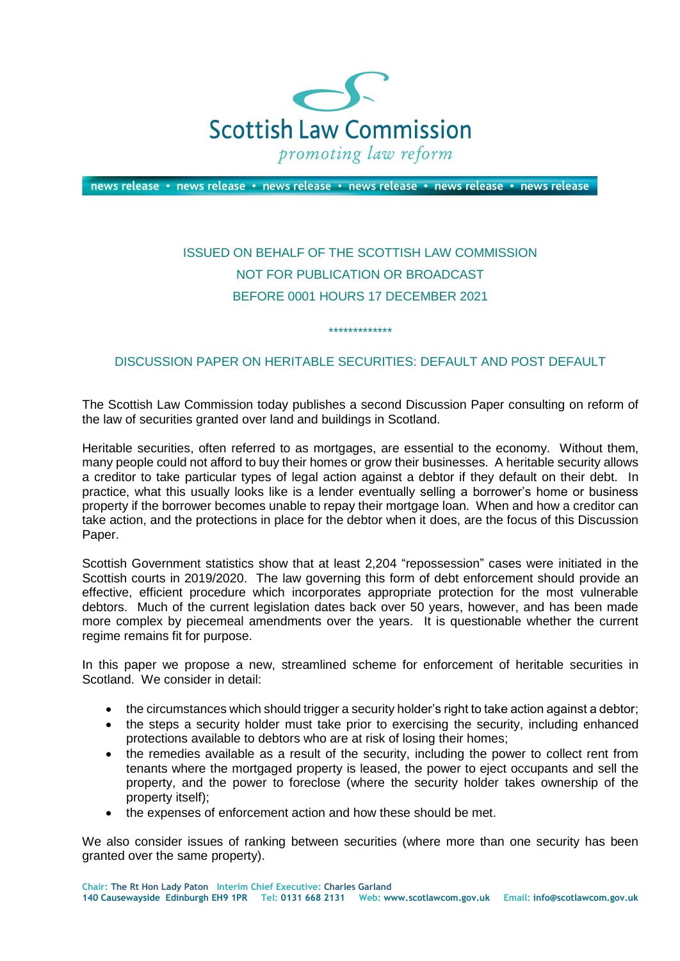

news release • news release • news release • news release • news release • news release

## ISSUED ON BEHALF OF THE SCOTTISH LAW COMMISSION NOT FOR PUBLICATION OR BROADCAST BEFORE 0001 HOURS 17 DECEMBER 2021

## DISCUSSION PAPER ON HERITABLE SECURITIES: DEFAULT AND POST DEFAULT

\*\*\*\*\*\*\*\*\*\*\*\*\*

The Scottish Law Commission today publishes a second Discussion Paper consulting on reform of the law of securities granted over land and buildings in Scotland.

Heritable securities, often referred to as mortgages, are essential to the economy. Without them, many people could not afford to buy their homes or grow their businesses. A heritable security allows a creditor to take particular types of legal action against a debtor if they default on their debt. In practice, what this usually looks like is a lender eventually selling a borrower's home or business property if the borrower becomes unable to repay their mortgage loan. When and how a creditor can take action, and the protections in place for the debtor when it does, are the focus of this Discussion Paper.

Scottish Government statistics show that at least 2,204 "repossession" cases were initiated in the Scottish courts in 2019/2020. The law governing this form of debt enforcement should provide an effective, efficient procedure which incorporates appropriate protection for the most vulnerable debtors. Much of the current legislation dates back over 50 years, however, and has been made more complex by piecemeal amendments over the years. It is questionable whether the current regime remains fit for purpose.

In this paper we propose a new, streamlined scheme for enforcement of heritable securities in Scotland. We consider in detail:

- the circumstances which should trigger a security holder's right to take action against a debtor;
- the steps a security holder must take prior to exercising the security, including enhanced protections available to debtors who are at risk of losing their homes;
- the remedies available as a result of the security, including the power to collect rent from tenants where the mortgaged property is leased, the power to eject occupants and sell the property, and the power to foreclose (where the security holder takes ownership of the property itself);
- the expenses of enforcement action and how these should be met.

We also consider issues of ranking between securities (where more than one security has been granted over the same property).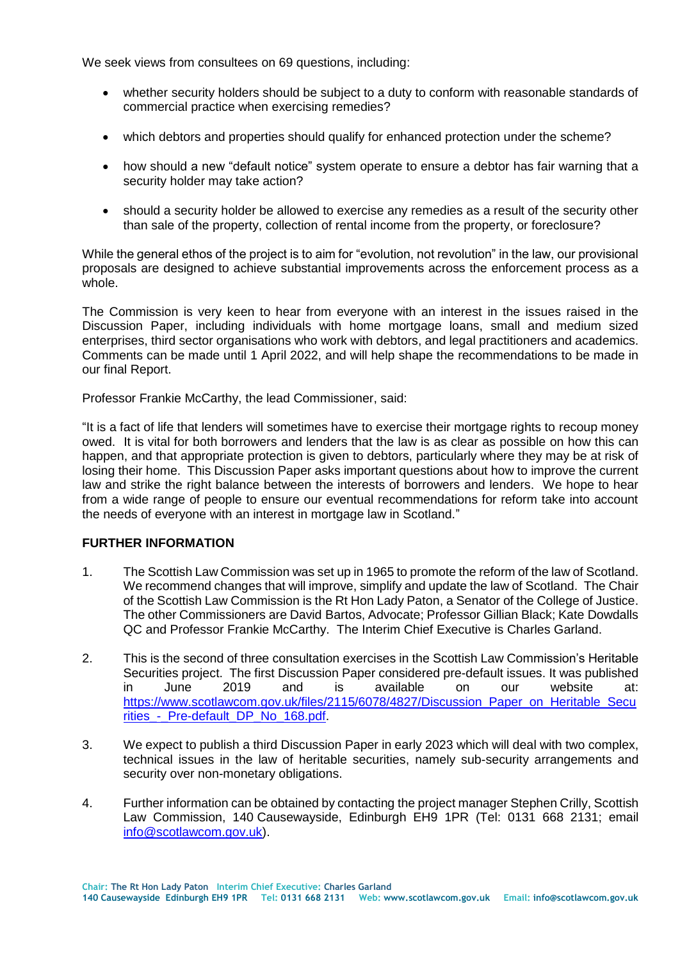We seek views from consultees on 69 questions, including:

- whether security holders should be subject to a duty to conform with reasonable standards of commercial practice when exercising remedies?
- which debtors and properties should qualify for enhanced protection under the scheme?
- how should a new "default notice" system operate to ensure a debtor has fair warning that a security holder may take action?
- should a security holder be allowed to exercise any remedies as a result of the security other than sale of the property, collection of rental income from the property, or foreclosure?

While the general ethos of the project is to aim for "evolution, not revolution" in the law, our provisional proposals are designed to achieve substantial improvements across the enforcement process as a whole.

The Commission is very keen to hear from everyone with an interest in the issues raised in the Discussion Paper, including individuals with home mortgage loans, small and medium sized enterprises, third sector organisations who work with debtors, and legal practitioners and academics. Comments can be made until 1 April 2022, and will help shape the recommendations to be made in our final Report.

Professor Frankie McCarthy, the lead Commissioner, said:

"It is a fact of life that lenders will sometimes have to exercise their mortgage rights to recoup money owed. It is vital for both borrowers and lenders that the law is as clear as possible on how this can happen, and that appropriate protection is given to debtors, particularly where they may be at risk of losing their home. This Discussion Paper asks important questions about how to improve the current law and strike the right balance between the interests of borrowers and lenders. We hope to hear from a wide range of people to ensure our eventual recommendations for reform take into account the needs of everyone with an interest in mortgage law in Scotland."

## **FURTHER INFORMATION**

- 1. The Scottish Law Commission was set up in 1965 to promote the reform of the law of Scotland. We recommend changes that will improve, simplify and update the law of Scotland. The Chair of the Scottish Law Commission is the Rt Hon Lady Paton, a Senator of the College of Justice. The other Commissioners are David Bartos, Advocate; Professor Gillian Black; Kate Dowdalls QC and Professor Frankie McCarthy. The Interim Chief Executive is Charles Garland.
- 2. This is the second of three consultation exercises in the Scottish Law Commission's Heritable Securities project. The first Discussion Paper considered pre-default issues. It was published in June 2019 and is available on our website at: [https://www.scotlawcom.gov.uk/files/2115/6078/4827/Discussion\\_Paper\\_on\\_Heritable\\_Secu](https://www.scotlawcom.gov.uk/files/2115/6078/4827/Discussion_Paper_on_Heritable_Securities_-_Pre-default_DP_No_168.pdf) rities - Pre-default DP No 168.pdf.
- 3. We expect to publish a third Discussion Paper in early 2023 which will deal with two complex, technical issues in the law of heritable securities, namely sub-security arrangements and security over non-monetary obligations.
- 4. Further information can be obtained by contacting the project manager Stephen Crilly, Scottish Law Commission, 140 Causewayside, Edinburgh EH9 1PR (Tel: 0131 668 2131; email [info@scotlawcom.gov.uk\)](mailto:info@scotlawcom.gov.uk).